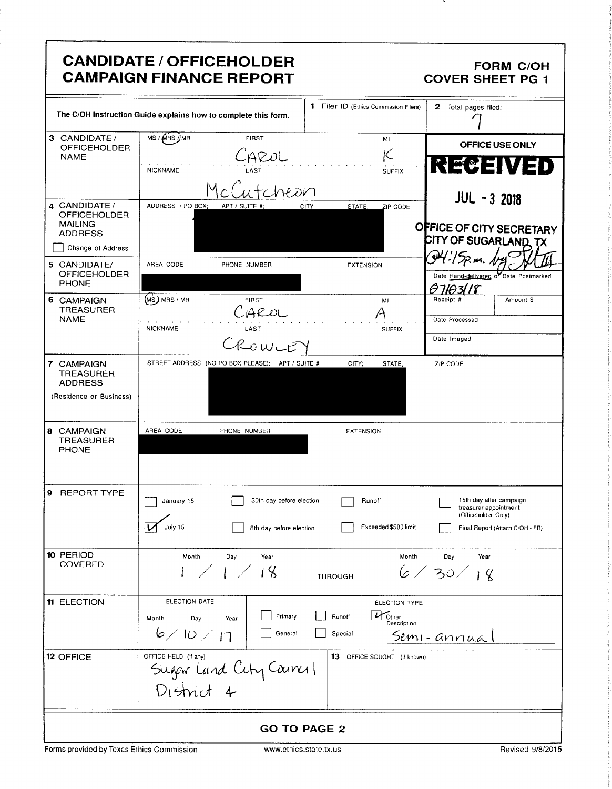|                                                                             | <b>CANDIDATE / OFFICEHOLDER</b><br><b>CAMPAIGN FINANCE REPORT</b>      |                                                                | <b>FORM C/OH</b><br><b>COVER SHEET PG 1</b>                             |
|-----------------------------------------------------------------------------|------------------------------------------------------------------------|----------------------------------------------------------------|-------------------------------------------------------------------------|
|                                                                             | The C/OH Instruction Guide explains how to complete this form.         | 1 Filer ID (Ethics Commission Filers)                          | 2 Total pages filed:                                                    |
| 3 CANDIDATE/<br><b>OFFICEHOLDER</b><br><b>NAME</b>                          | MS / MRS / MR<br><b>FIRST</b><br>AROL                                  | MI<br>İС                                                       | OFFICE USE ONLY<br><b>REGEIVED</b>                                      |
|                                                                             | <b>NICKNAME</b><br>heon                                                | <b>SUFFIX</b>                                                  | <b>JUL - 3 2018</b>                                                     |
| 4 CANDIDATE /<br><b>OFFICEHOLDER</b><br><b>MAILING</b><br><b>ADDRESS</b>    | ADDRESS / PO BOX:<br>APT / SUITE #:                                    | STATE:<br>CITY:<br>ZIP CODE                                    | OFFICE OF CITY SECRETARY                                                |
| Change of Address                                                           |                                                                        |                                                                | CITY OF SUGARLAND, TX                                                   |
| 5 CANDIDATE/<br><b>OFFICEHOLDER</b><br><b>PHONE</b>                         | AREA CODE<br>PHONE NUMBER                                              | <b>EXTENSION</b>                                               | Date Hand-delivered of Date Postmarked<br>07103118                      |
| 6 CAMPAIGN<br><b>TREASURER</b><br><b>NAME</b>                               | $(Ms)$ MRS / MR<br><b>FIRST</b><br>AROL                                | MI                                                             | Receipt #<br>Amount \$<br>Date Processed                                |
|                                                                             | <b>NICKNAME</b><br>LAST<br>ROWLE                                       | <b>SUFFIX</b>                                                  | Date Imaged                                                             |
| 7 CAMPAIGN<br><b>TREASURER</b><br><b>ADDRESS</b><br>(Residence or Business) | STREET ADDRESS (NO PO BOX PLEASE); APT / SUITE #;                      | CITY;<br>STATE;                                                | ZIP CODE                                                                |
| 8 CAMPAIGN<br><b>TREASURER</b><br><b>PHONE</b>                              | AREA CODE<br>PHONE NUMBER                                              | <b>EXTENSION</b>                                               |                                                                         |
| 9 REPORT TYPE                                                               | 30th day before election<br>January 15                                 | Runoff                                                         | 15th day after campaign<br>treasurer appointment<br>(Officeholder Only) |
|                                                                             | July 15<br>8th day before election                                     | Exceeded \$500 limit                                           | Final Report (Attach C/OH - FR)                                         |
| 10 PERIOD<br>COVERED                                                        | Month<br>Day<br>Year<br>$1 \times 18$                                  | Month<br><b>THROUGH</b>                                        | Day<br>Year<br>6/30/18                                                  |
| <b>11 ELECTION</b>                                                          | ELECTION DATE<br>Primary<br>Month<br>Day<br>Year<br>6/10/17<br>General | ELECTION TYPE<br>$U$ Other<br>Runoff<br>Description<br>Special | Semi-annual                                                             |
| 12 OFFICE                                                                   | OFFICE HELD (if any)<br>Sugar Land City Council<br>District 4          | 13 OFFICE SOUGHT (if known)                                    |                                                                         |
| <b>GO TO PAGE 2</b>                                                         |                                                                        |                                                                |                                                                         |

E

-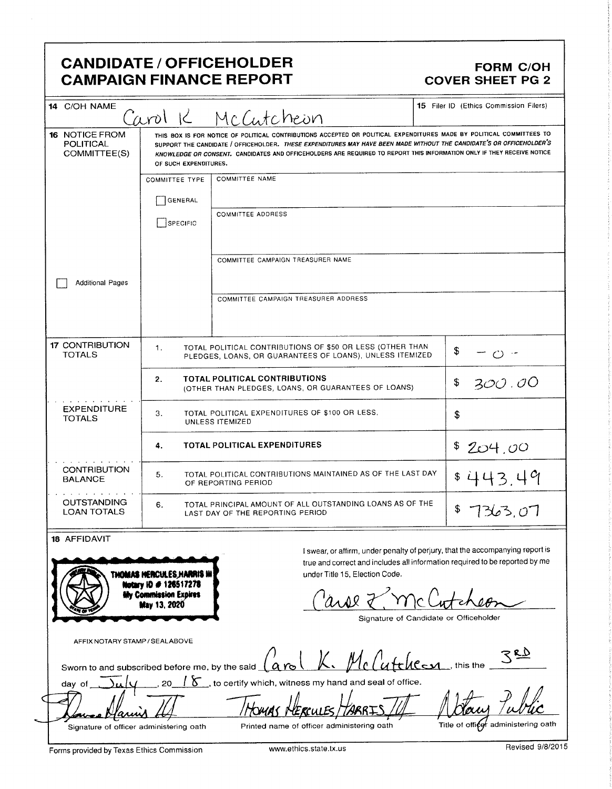### CANDIDATE / OFFICEHOLDER<br>
CAMPAIGN FINANCE REPORT COVER SHEET PG 2 **CAMPAIGN FINANCE REPORT**

| 14 C/OH NAME                                                                                                   |                                                                                                           | Carol K McCutcheon                                                                                                                                                                                                                                                                                                                                                      | 15 Filer ID (Ethics Commission Filers) |
|----------------------------------------------------------------------------------------------------------------|-----------------------------------------------------------------------------------------------------------|-------------------------------------------------------------------------------------------------------------------------------------------------------------------------------------------------------------------------------------------------------------------------------------------------------------------------------------------------------------------------|----------------------------------------|
| <b>16 NOTICE FROM</b><br>POLITICAL<br>COMMITTEE(S)                                                             | OF SUCH EXPENDITURES.                                                                                     | THIS BOX IS FOR NOTICE OF POLITICAL CONTRIBUTIONS ACCEPTED OR POLITICAL EXPENDITURES MADE BY POLITICAL COMMITTEES TO<br>SUPPORT THE CANDIDATE / OFFICEHOLDER. THESE EXPENDITURES MAY HAVE BEEN MADE WITHOUT THE CANDIDATE'S OR OFFICEHOLDER'S<br>KNOWLEDGE OR CONSENT. CANDIDATES AND OFFICEHOLDERS ARE REQUIRED TO REPORT THIS INFORMATION ONLY IF THEY RECEIVE NOTICE |                                        |
|                                                                                                                | <b>COMMITTEE TYPE</b>                                                                                     | <b>COMMITTEE NAME</b>                                                                                                                                                                                                                                                                                                                                                   |                                        |
|                                                                                                                | GENERAL                                                                                                   |                                                                                                                                                                                                                                                                                                                                                                         |                                        |
|                                                                                                                | SPECIFIC                                                                                                  | <b>COMMITTEE ADDRESS</b>                                                                                                                                                                                                                                                                                                                                                |                                        |
|                                                                                                                |                                                                                                           | COMMITTEE CAMPAIGN TREASURER NAME                                                                                                                                                                                                                                                                                                                                       |                                        |
| <b>Additional Pages</b>                                                                                        |                                                                                                           |                                                                                                                                                                                                                                                                                                                                                                         |                                        |
|                                                                                                                |                                                                                                           | COMMITTEE CAMPAIGN TREASURER ADDRESS                                                                                                                                                                                                                                                                                                                                    |                                        |
| <b>17 CONTRIBUTION</b><br><b>TOTALS</b>                                                                        | 1.                                                                                                        | TOTAL POLITICAL CONTRIBUTIONS OF \$50 OR LESS (OTHER THAN<br>PLEDGES, LOANS, OR GUARANTEES OF LOANS), UNLESS ITEMIZED                                                                                                                                                                                                                                                   | \$                                     |
|                                                                                                                | 2.                                                                                                        | <b>TOTAL POLITICAL CONTRIBUTIONS</b><br>(OTHER THAN PLEDGES, LOANS, OR GUARANTEES OF LOANS)                                                                                                                                                                                                                                                                             | \$<br>300.00                           |
| <b>EXPENDITURE</b><br>TOTAL POLITICAL EXPENDITURES OF \$100 OR LESS,<br>з.<br><b>TOTALS</b><br>UNLESS ITEMIZED |                                                                                                           |                                                                                                                                                                                                                                                                                                                                                                         | \$                                     |
|                                                                                                                | 4.                                                                                                        | TOTAL POLITICAL EXPENDITURES                                                                                                                                                                                                                                                                                                                                            | \$204.00                               |
| <b>CONTRIBUTION</b><br><b>BALANCE</b>                                                                          | TOTAL POLITICAL CONTRIBUTIONS MAINTAINED AS OF THE LAST DAY<br>5.<br>OF REPORTING PERIOD                  | \$443.49                                                                                                                                                                                                                                                                                                                                                                |                                        |
| <b>OUTSTANDING</b><br><b>LOAN TOTALS</b>                                                                       | TOTAL PRINCIPAL AMOUNT OF ALL OUTSTANDING LOANS AS OF THE<br>6.<br>LAST DAY OF THE REPORTING PERIOD       | 7363.07                                                                                                                                                                                                                                                                                                                                                                 |                                        |
| 18 AFFIDAVIT                                                                                                   | THOMAS HERCULES,HARRIS IN<br>Notary ID # 126517278<br><b>My Commission Expires</b><br><b>May 13, 2020</b> | I swear, or affirm, under penalty of perjury, that the accompanying report is<br>true and correct and includes all information required to be reported by me<br>under Title 15, Election Code.<br>Signature of Candidate or Officeholder                                                                                                                                |                                        |
| AFFIX NOTARY STAMP / SEALABOVE<br>Sworn to and subscribed before me, by the said                               |                                                                                                           | K. McCutchecon this the                                                                                                                                                                                                                                                                                                                                                 |                                        |
| day of                                                                                                         | 20                                                                                                        | $\delta$ , to certify which, witness my hand and seal of office.                                                                                                                                                                                                                                                                                                        |                                        |
|                                                                                                                |                                                                                                           |                                                                                                                                                                                                                                                                                                                                                                         |                                        |
| Signature of officer administering oath                                                                        |                                                                                                           | Printed name of officer administering oath                                                                                                                                                                                                                                                                                                                              | Title of officer administering oath    |
| Forms provided by Texas Ethics Commission                                                                      |                                                                                                           | www.ethics.state.tx.us                                                                                                                                                                                                                                                                                                                                                  | Revised 9/8/2015                       |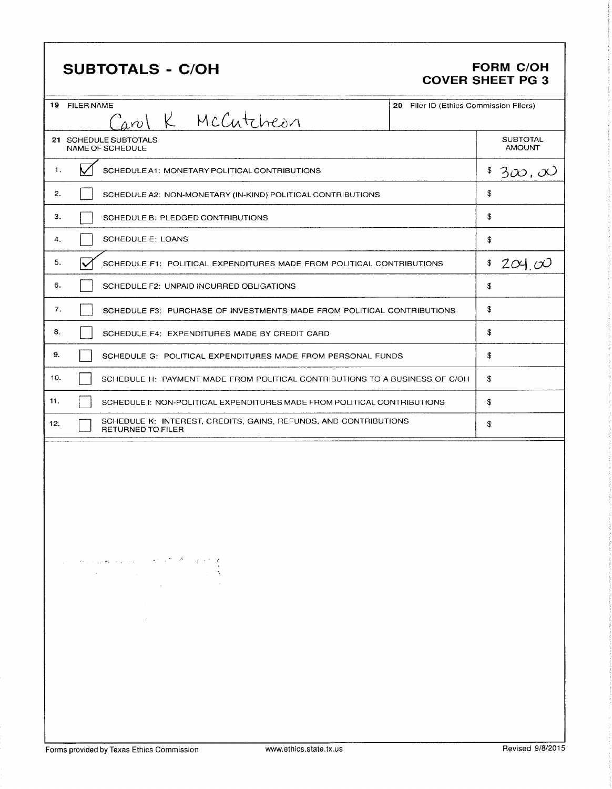## SUBTOTALS - C/OH FORM C/OH

# COVER SHEET PG 3

| 19 FILER NAME<br>Carol K McCutcheon                                                                                                                                                                                                                                                                                                                                                                                                                                                                                                                                                                                                                                                                                                                                                       | 20 Filer ID (Ethics Commission Filers) |                                  |
|-------------------------------------------------------------------------------------------------------------------------------------------------------------------------------------------------------------------------------------------------------------------------------------------------------------------------------------------------------------------------------------------------------------------------------------------------------------------------------------------------------------------------------------------------------------------------------------------------------------------------------------------------------------------------------------------------------------------------------------------------------------------------------------------|----------------------------------------|----------------------------------|
| 21 SCHEDULE SUBTOTALS<br>NAME OF SCHEDULE                                                                                                                                                                                                                                                                                                                                                                                                                                                                                                                                                                                                                                                                                                                                                 |                                        | <b>SUBTOTAL</b><br><b>AMOUNT</b> |
| 1.<br>SCHEDULE A1: MONETARY POLITICAL CONTRIBUTIONS                                                                                                                                                                                                                                                                                                                                                                                                                                                                                                                                                                                                                                                                                                                                       |                                        | \$<br>3 $\infty$ , $\infty$      |
| 2.<br>SCHEDULE A2: NON-MONETARY (IN-KIND) POLITICAL CONTRIBUTIONS                                                                                                                                                                                                                                                                                                                                                                                                                                                                                                                                                                                                                                                                                                                         |                                        | \$                               |
| З.<br>SCHEDULE B: PLEDGED CONTRIBUTIONS                                                                                                                                                                                                                                                                                                                                                                                                                                                                                                                                                                                                                                                                                                                                                   |                                        | \$                               |
| SCHEDULE E: LOANS<br>4.                                                                                                                                                                                                                                                                                                                                                                                                                                                                                                                                                                                                                                                                                                                                                                   |                                        | \$                               |
| 5.<br>SCHEDULE F1: POLITICAL EXPENDITURES MADE FROM POLITICAL CONTRIBUTIONS                                                                                                                                                                                                                                                                                                                                                                                                                                                                                                                                                                                                                                                                                                               |                                        | \$204.00                         |
| 6.<br>SCHEDULE F2: UNPAID INCURRED OBLIGATIONS                                                                                                                                                                                                                                                                                                                                                                                                                                                                                                                                                                                                                                                                                                                                            |                                        | \$                               |
| 7.<br>SCHEDULE F3: PURCHASE OF INVESTMENTS MADE FROM POLITICAL CONTRIBUTIONS                                                                                                                                                                                                                                                                                                                                                                                                                                                                                                                                                                                                                                                                                                              |                                        | \$                               |
| 8.<br>SCHEDULE F4: EXPENDITURES MADE BY CREDIT CARD                                                                                                                                                                                                                                                                                                                                                                                                                                                                                                                                                                                                                                                                                                                                       |                                        | \$                               |
| 9.<br>SCHEDULE G: POLITICAL EXPENDITURES MADE FROM PERSONAL FUNDS                                                                                                                                                                                                                                                                                                                                                                                                                                                                                                                                                                                                                                                                                                                         |                                        | \$                               |
| 10.<br>SCHEDULE H: PAYMENT MADE FROM POLITICAL CONTRIBUTIONS TO A BUSINESS OF C/OH                                                                                                                                                                                                                                                                                                                                                                                                                                                                                                                                                                                                                                                                                                        |                                        | \$                               |
| 11.<br>SCHEDULE I: NON-POLITICAL EXPENDITURES MADE FROM POLITICAL CONTRIBUTIONS                                                                                                                                                                                                                                                                                                                                                                                                                                                                                                                                                                                                                                                                                                           |                                        | \$                               |
| SCHEDULE K: INTEREST, CREDITS, GAINS, REFUNDS, AND CONTRIBUTIONS<br>12.<br>RETURNED TO FILER                                                                                                                                                                                                                                                                                                                                                                                                                                                                                                                                                                                                                                                                                              |                                        | \$                               |
| $\alpha_{\rm{max}}$ , which is a simple of the set of the set of the $\ell$<br>where $\mathcal{L}_\text{max}$ is a subset of the set of the set of the set of the set of the set of the set of the set of the set of the set of the set of the set of the set of the set of the set of the set of the set of the set of<br>$\mathcal{L}(\mathcal{L}^{\mathcal{L}})$ and $\mathcal{L}^{\mathcal{L}}$ are the set of the set of the set of $\mathcal{L}^{\mathcal{L}}$<br>$\mathcal{L}(\mathcal{L}^{\mathcal{L}})$ and $\mathcal{L}(\mathcal{L}^{\mathcal{L}})$ and $\mathcal{L}(\mathcal{L}^{\mathcal{L}})$ and $\mathcal{L}(\mathcal{L}^{\mathcal{L}})$<br>$\mathcal{L}(\mathcal{L}^{\mathcal{L}})$ and $\mathcal{L}^{\mathcal{L}}$ are the set of the set of $\mathcal{L}^{\mathcal{L}}$ |                                        |                                  |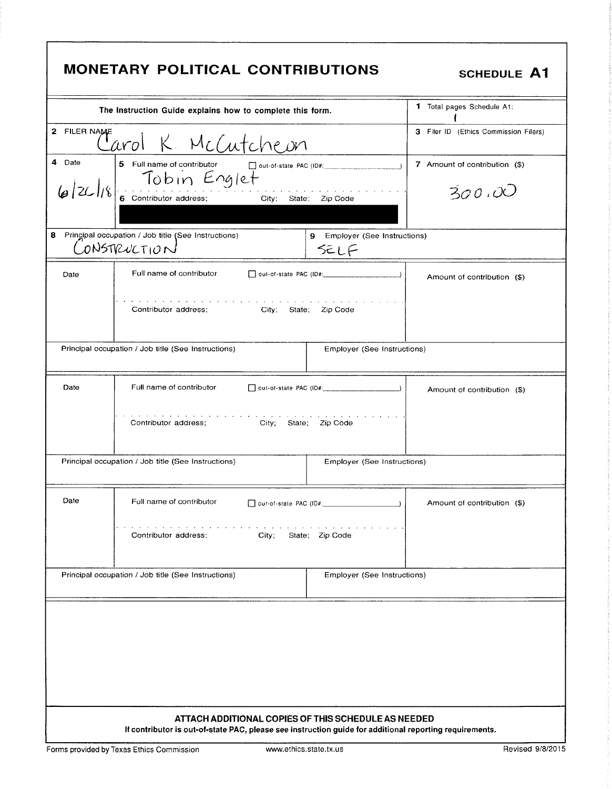| <b>MONETARY POLITICAL CONTRIBUTIONS</b><br><b>SCHEDULE A1</b>                                                                                                  |                                                                                                                              |                                                            |                                         |  |
|----------------------------------------------------------------------------------------------------------------------------------------------------------------|------------------------------------------------------------------------------------------------------------------------------|------------------------------------------------------------|-----------------------------------------|--|
| The Instruction Guide explains how to complete this form.                                                                                                      |                                                                                                                              |                                                            | <b>1</b> Total pages Schedule A1:       |  |
| 2 FILER NAME                                                                                                                                                   | Jarol K. McCutcheon                                                                                                          |                                                            | 3 Filer ID (Ethics Commission Filers)   |  |
| 4 Date                                                                                                                                                         | 5 Full name of contributor<br>out-of-state PAC (ID#:<br>6/26/18 TODIN Englet<br>6 Contributor address; City: State: Zip Code |                                                            | 7 Amount of contribution (\$)<br>300.00 |  |
|                                                                                                                                                                | 8 Principal occupation / Job title (See Instructions)<br>CONSTRUCTION                                                        | 9 Employer (See Instructions)<br>SELF                      |                                         |  |
| Date                                                                                                                                                           | Full name of contributor                                                                                                     |                                                            | Amount of contribution (\$)             |  |
|                                                                                                                                                                | Contributor address;<br>City; State; Zip Code                                                                                | the contract of the contract of the                        |                                         |  |
| Principal occupation / Job title (See Instructions)<br>Employer (See Instructions)                                                                             |                                                                                                                              |                                                            |                                         |  |
| Date                                                                                                                                                           | Full name of contributor                                                                                                     |                                                            | Amount of contribution (\$)             |  |
| the company of the company of<br>City; State; Zip Code<br>Contributor address;                                                                                 |                                                                                                                              |                                                            |                                         |  |
|                                                                                                                                                                | Principal occupation / Job title (See Instructions)                                                                          | Employer (See Instructions)                                |                                         |  |
| Date                                                                                                                                                           | Full name of contributor<br>the contract of the contract of the<br>Contributor address;<br>City;                             | out-of-state PAC (ID#: ________________<br>State; Zip Code | Amount of contribution (\$)             |  |
|                                                                                                                                                                | Principal occupation / Job title (See Instructions)                                                                          | Employer (See Instructions)                                |                                         |  |
| ATTACH ADDITIONAL COPIES OF THIS SCHEDULE AS NEEDED<br>If contributor is out-of-state PAC, please see instruction guide for additional reporting requirements. |                                                                                                                              |                                                            |                                         |  |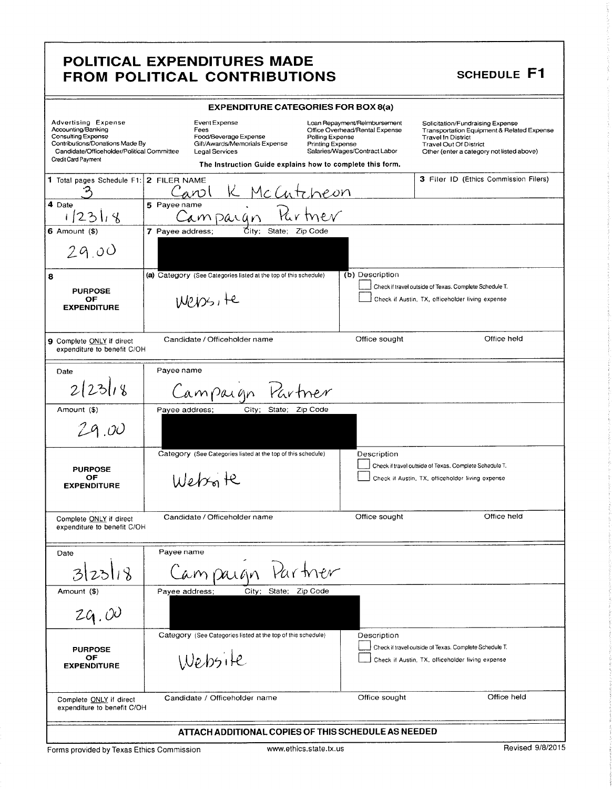### POLITICAL EXPENDITURES MADE FROM POLITICAL CONTRIBUTIONS SCHEDULE F1

| <b>EXPENDITURE CATEGORIES FOR BOX 8(a)</b>                                                                                                                              |                                                                                                                                                                |                                                                                                                                                                                                                                                                                                                                     |             |  |
|-------------------------------------------------------------------------------------------------------------------------------------------------------------------------|----------------------------------------------------------------------------------------------------------------------------------------------------------------|-------------------------------------------------------------------------------------------------------------------------------------------------------------------------------------------------------------------------------------------------------------------------------------------------------------------------------------|-------------|--|
| Advertising Expense<br>Accounting/Banking<br>Consulting Expense<br>Contributions/Donations Made By<br>Candidate/Officeholder/Political Committee<br>Credit Card Payment | Event Expense<br>Fees<br>Food/Beverage Expense<br>Gift/Awards/Memorials Expense<br>Legal Services<br>The Instruction Guide explains how to complete this form. | Loan Repayment/Reimbursement<br>Solicitation/Fundraising Expense<br>Office Overhead/Rental Expense<br>Transportation Equipment & Related Expense<br>Polling Expense<br><b>Travel In District</b><br>Printing Expense<br><b>Travel Out Of District</b><br>Salaries/Wages/Contract Labor<br>Other (enter a category not listed above) |             |  |
| 1 Total pages Schedule F1:                                                                                                                                              | 2 FILER NAME<br>McCutcheon<br>anol                                                                                                                             | 3 Filer ID (Ethics Commission Filers)                                                                                                                                                                                                                                                                                               |             |  |
| 4 Date<br>123<br>५                                                                                                                                                      | 5 Payee name<br>Campargn                                                                                                                                       |                                                                                                                                                                                                                                                                                                                                     |             |  |
| $6$ Amount $($)$                                                                                                                                                        | City:<br>7 Payee address;<br>State; Zip Code                                                                                                                   |                                                                                                                                                                                                                                                                                                                                     |             |  |
| 29.00                                                                                                                                                                   |                                                                                                                                                                |                                                                                                                                                                                                                                                                                                                                     |             |  |
| 8                                                                                                                                                                       | (a) Category (See Categories listed at the top of this schedule)                                                                                               | (b) Description                                                                                                                                                                                                                                                                                                                     |             |  |
| <b>PURPOSE</b><br>OF<br><b>EXPENDITURE</b>                                                                                                                              | W2105, 16                                                                                                                                                      | Check if travel outside of Texas. Complete Schedule T.<br>Check if Austin, TX, officeholder living expense                                                                                                                                                                                                                          |             |  |
| 9 Complete ONLY if direct<br>expenditure to benefit C/OH                                                                                                                | Candidate / Officeholder name                                                                                                                                  | Office held<br>Office sought                                                                                                                                                                                                                                                                                                        |             |  |
| Date                                                                                                                                                                    | Payee name                                                                                                                                                     |                                                                                                                                                                                                                                                                                                                                     |             |  |
| 2 23 18                                                                                                                                                                 | Partner<br>Campaign                                                                                                                                            |                                                                                                                                                                                                                                                                                                                                     |             |  |
| Amount (\$)                                                                                                                                                             | City;<br>State; Zip Code<br>Payee address;                                                                                                                     |                                                                                                                                                                                                                                                                                                                                     |             |  |
| 29.00                                                                                                                                                                   |                                                                                                                                                                |                                                                                                                                                                                                                                                                                                                                     |             |  |
|                                                                                                                                                                         | Category (See Categories listed at the top of this schedule)                                                                                                   | Description                                                                                                                                                                                                                                                                                                                         |             |  |
| <b>PURPOSE</b><br>OF                                                                                                                                                    |                                                                                                                                                                | Check if travel outside of Texas. Complete Schedule T.<br>Check if Austin, TX, officeholder living expense                                                                                                                                                                                                                          |             |  |
| <b>EXPENDITURE</b>                                                                                                                                                      | Websore                                                                                                                                                        |                                                                                                                                                                                                                                                                                                                                     |             |  |
| Complete ONLY if direct<br>expenditure to benefit C/OH                                                                                                                  | Candidate / Officeholder name                                                                                                                                  | Office held<br>Office sought                                                                                                                                                                                                                                                                                                        |             |  |
| Date                                                                                                                                                                    | Payee name                                                                                                                                                     |                                                                                                                                                                                                                                                                                                                                     |             |  |
| $\sqrt{3}$<br>$\mathcal{B}$                                                                                                                                             | ampaign Partner                                                                                                                                                |                                                                                                                                                                                                                                                                                                                                     |             |  |
| Amount (\$)                                                                                                                                                             | City;<br>State; Zip Code<br>Payee address;                                                                                                                     |                                                                                                                                                                                                                                                                                                                                     |             |  |
| 29.00                                                                                                                                                                   |                                                                                                                                                                |                                                                                                                                                                                                                                                                                                                                     |             |  |
|                                                                                                                                                                         | Category (See Categories listed at the top of this schedule)                                                                                                   | Description                                                                                                                                                                                                                                                                                                                         |             |  |
| <b>PURPOSE</b><br>OF                                                                                                                                                    | Website                                                                                                                                                        | Check if travel outside of Texas. Complete Schedule T.<br>Check if Austin, TX, officeholder living expense                                                                                                                                                                                                                          |             |  |
| <b>EXPENDITURE</b>                                                                                                                                                      |                                                                                                                                                                |                                                                                                                                                                                                                                                                                                                                     |             |  |
| Complete ONLY if direct<br>expenditure to benefit C/OH                                                                                                                  | Candidate / Officeholder name                                                                                                                                  | Office sought                                                                                                                                                                                                                                                                                                                       | Office held |  |
| ATTACH ADDITIONAL COPIES OF THIS SCHEDULE AS NEEDED                                                                                                                     |                                                                                                                                                                |                                                                                                                                                                                                                                                                                                                                     |             |  |

Forms provided by Texas Ethics Commission www.ethics.state.tx.us Revised 9/8/2015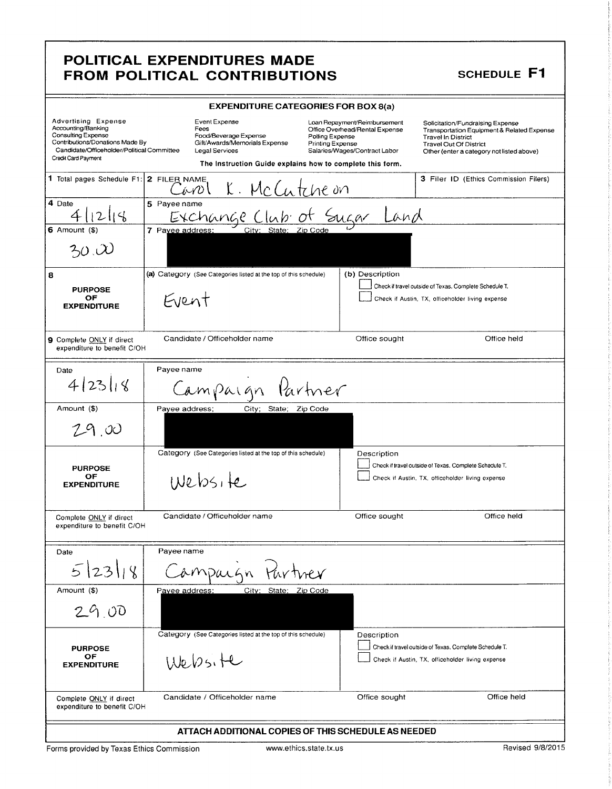### POLITICAL EXPENDITURES MADE FROM POLITICAL CONTRIBUTIONS SCHEDULE F1

| POLITICAL EXPENDITURES MADE<br>FROM POLITICAL CONTRIBUTIONS                                                                                                                                                                                                                                                                                                                                                                                                                                |  |  |  |
|--------------------------------------------------------------------------------------------------------------------------------------------------------------------------------------------------------------------------------------------------------------------------------------------------------------------------------------------------------------------------------------------------------------------------------------------------------------------------------------------|--|--|--|
| SCHEDULE F1<br><b>EXPENDITURE CATEGORIES FOR BOX 8(a)</b>                                                                                                                                                                                                                                                                                                                                                                                                                                  |  |  |  |
| Advertising Expense<br>Accounting/Banking<br>Consulting Expense<br>Consulting Expense<br>Contributions/Donations Made By<br>Candidate/Officeholder/Political Committee<br>Cerail Card Payment<br>Cerail Card Payment<br>Cerail Card Payment<br>C<br>Loan Repayment/Reimbursement Solicitation/Fundraising Expense<br>Office Overhead/Rental Expense Transportation Equipment & Related Expense<br>Polling Expense Travel In District<br>Printing Expense Travel Out Of District<br>Salarie |  |  |  |
| The Instruction Guide explains how to complete this form.<br>The Total pages Schedule F1: 2 FILER NAME<br>COV K. McCutche On<br>4 Date<br>6 Amount (\$) 7 Payee address: City: State: Zip Code<br>3 Filer ID (Ethics Commission Filers)                                                                                                                                                                                                                                                    |  |  |  |
| 30.00                                                                                                                                                                                                                                                                                                                                                                                                                                                                                      |  |  |  |
| (a) Category (See Categories listed at the top of this schedule) (b) Description<br>Check if travel outside of Texas. Complete Schedule T.<br>PURPOSE<br>OF CYENT EVENT<br>Check if Austin, TX, officeholder living expense                                                                                                                                                                                                                                                                |  |  |  |
| 9 Complete <u>ONLY</u> if direct<br>expenditure to benefit C/OH<br>Office sought<br>Office held                                                                                                                                                                                                                                                                                                                                                                                            |  |  |  |
| Date 4/23/18 Payee name<br>Amount (\$) Campaign Partner                                                                                                                                                                                                                                                                                                                                                                                                                                    |  |  |  |
| 29.00                                                                                                                                                                                                                                                                                                                                                                                                                                                                                      |  |  |  |
| Category (See Categories listed at the top of this schedule) Description<br>Check if travel outside of Texas. Complete Schedule T.<br>PURPOSE OF WEDSITE<br>Check if Austin, TX, officeholder living expense                                                                                                                                                                                                                                                                               |  |  |  |
| Complete <u>ONLY</u> if direct<br>expenditure to benefit C/OH<br>expenditure to benefit C/OH<br>Office sought Office held                                                                                                                                                                                                                                                                                                                                                                  |  |  |  |
| Date Payee name<br>5/23/18 Campaign Partner<br>Amount (\$) Payee address: City: State: Zip Code                                                                                                                                                                                                                                                                                                                                                                                            |  |  |  |
| 129.00<br>Category (See Categories listed at the top of this schedule) Description                                                                                                                                                                                                                                                                                                                                                                                                         |  |  |  |
| Check if travel outside of Texas. Complete Schedule T.<br>PURPOSE<br>OF<br>EXPENDITURE<br>Website<br>Check if Austin, TX, officeholder living expense                                                                                                                                                                                                                                                                                                                                      |  |  |  |
| Complete <u>ONLY</u> if direct Candidate / Officeholder name<br>expenditure to benefit C/OH expenditure to benefit C/OH and the series of the sought of the sought of the sought of the sought of the sought of the sought of the soug<br>ATTACH ADDITIONAL COPIES OF THIS SCHEDULE AS NEEDED                                                                                                                                                                                              |  |  |  |
|                                                                                                                                                                                                                                                                                                                                                                                                                                                                                            |  |  |  |